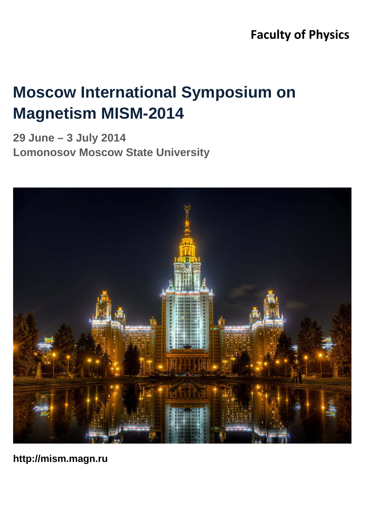## **Faculty of Physics**

# **Moscow International Symposium on Magnetism MISM-2014**

**29 June – 3 July 2014 Lomonosov Moscow State University** 



**http://mism.magn.ru**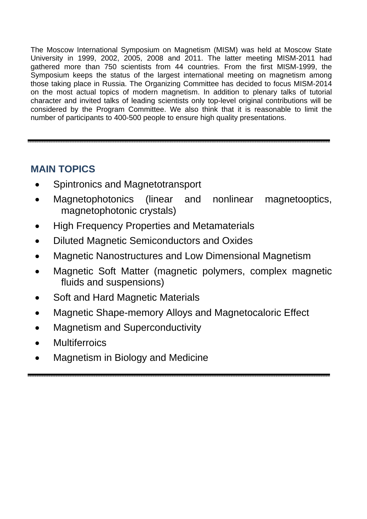The Moscow International Symposium on Magnetism (MISM) was held at Moscow State University in 1999, 2002, 2005, 2008 and 2011. The latter meeting MISM-2011 had gathered more than 750 scientists from 44 countries. From the first MISM-1999, the Symposium keeps the status of the largest international meeting on magnetism among those taking place in Russia. The Organizing Committee has decided to focus MISM-2014 on the most actual topics of modern magnetism. In addition to plenary talks of tutorial character and invited talks of leading scientists only top-level original contributions will be considered by the Program Committee. We also think that it is reasonable to limit the number of participants to 400-500 people to ensure high quality presentations.

### **MAIN TOPICS**

- Spintronics and Magnetotransport
- Magnetophotonics (linear and nonlinear magnetooptics, magnetophotonic crystals)
- High Frequency Properties and Metamaterials
- Diluted Magnetic Semiconductors and Oxides
- Magnetic Nanostructures and Low Dimensional Magnetism
- Magnetic Soft Matter (magnetic polymers, complex magnetic fluids and suspensions)
- Soft and Hard Magnetic Materials
- Magnetic Shape-memory Alloys and Magnetocaloric Effect
- Magnetism and Superconductivity
- **Multiferroics**
- Magnetism in Biology and Medicine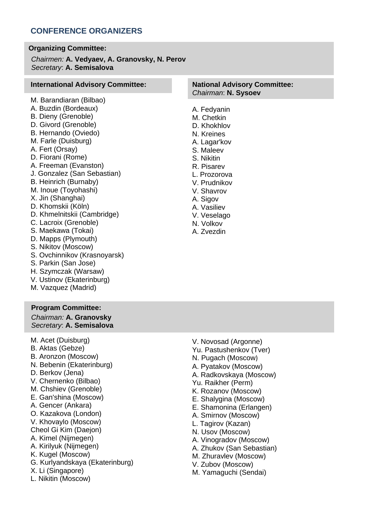#### **CONFERENCE ORGANIZERS**

#### **Organizing Committee:**

*Chairmen:* **A. Vedyaev, A. Granovsky, N. Perov**  *Secretary*: **A. Semisalova**

| <b>International Advisory Committee:</b>                                                                                                                                                                                                                                                                                                                                                                                                                                                                                                                                                                  | <b>National Advisory</b><br>Chairman: N. Syso                                                                                                                                                                                      |
|-----------------------------------------------------------------------------------------------------------------------------------------------------------------------------------------------------------------------------------------------------------------------------------------------------------------------------------------------------------------------------------------------------------------------------------------------------------------------------------------------------------------------------------------------------------------------------------------------------------|------------------------------------------------------------------------------------------------------------------------------------------------------------------------------------------------------------------------------------|
| M. Barandiaran (Bilbao)<br>A. Buzdin (Bordeaux)<br>B. Dieny (Grenoble)<br>D. Givord (Grenoble)<br>B. Hernando (Oviedo)<br>M. Farle (Duisburg)<br>A. Fert (Orsay)<br>D. Fiorani (Rome)<br>A. Freeman (Evanston)<br>J. Gonzalez (San Sebastian)<br>B. Heinrich (Burnaby)<br>M. Inoue (Toyohashi)<br>X. Jin (Shanghai)<br>D. Khomskii (Köln)<br>D. Khmelnitskii (Cambridge)<br>C. Lacroix (Grenoble)<br>S. Maekawa (Tokai)<br>D. Mapps (Plymouth)<br>S. Nikitov (Moscow)<br>S. Ovchinnikov (Krasnoyarsk)<br>S. Parkin (San Jose)<br>H. Szymczak (Warsaw)<br>V. Ustinov (Ekaterinburg)<br>M. Vazquez (Madrid) | A. Fedyanin<br>M. Chetkin<br>D. Khokhlov<br>N. Kreines<br>A. Lagar'kov<br>S. Maleev<br>S. Nikitin<br>R. Pisarev<br>L. Prozorova<br>V. Prudnikov<br>V. Shavrov<br>A. Sigov<br>A. Vasiliev<br>V. Veselago<br>N. Volkov<br>A. Zvezdin |
| <b>Program Committee:</b>                                                                                                                                                                                                                                                                                                                                                                                                                                                                                                                                                                                 |                                                                                                                                                                                                                                    |

*Chairman:* **A. Granovsky** *Secretary*: **A. Semisalova**

- M. Acet (Duisburg)
- B. Aktas (Gebze)
- B. Aronzon (Moscow)
- N. Bebenin (Ekaterinburg)
- D. Berkov (Jena)
- V. Chernenko (Bilbao)
- M. Chshiev (Grenoble)
- E. Gan'shina (Moscow)
- A. Gencer (Ankara)
- O. Kazakova (London)
- V. Khovaylo (Moscow)
- Cheol Gi Kim (Daejon)
- A. Kimel (Nijmegen)
- A. Kirilyuk (Nijmegen)
- K. Kugel (Moscow)
- G. Kurlyandskaya (Ekaterinburg)
- X. Li (Singapore)
- L. Nikitin (Moscow)
- V. Novosad (Argonne) Yu. Pastushenkov (Tver)
- N. Pugach (Moscow)
- A. Pyatakov (Moscow)
- A. Radkovskaya (Moscow)
- Yu. Raikher (Perm)
- K. Rozanov (Moscow)
- E. Shalygina (Moscow)
- E. Shamonina (Erlangen)
- A. Smirnov (Moscow)
- L. Tagirov (Kazan)
- N. Usov (Moscow)
- A. Vinogradov (Moscow)
- A. Zhukov (San Sebastian)
- M. Zhuravlev (Moscow)
- V. Zubov (Moscow)
- M. Yamaguchi (Sendai)

**National Advisory Committee:** *Chairman*: **N. Sysoev**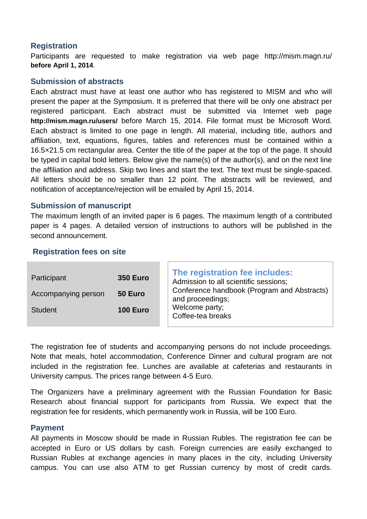#### **Registration**

Participants are requested to make registration via web page http://mism.magn.ru/ **before April 1, 2014**.

#### **Submission of abstracts**

Each abstract must have at least one author who has registered to MISM and who will present the paper at the Symposium. It is preferred that there will be only one abstract per registered participant. Each abstract must be submitted via Internet web page **http://mism.magn.ru/users/** before March 15, 2014. File format must be Microsoft Word. Each abstract is limited to one page in length. All material, including title, authors and affiliation, text, equations, figures, tables and references must be contained within a 16.5×21.5 cm rectangular area. Center the title of the paper at the top of the page. It should be typed in capital bold letters. Below give the name(s) of the author(s), and on the next line the affiliation and address. Skip two lines and start the text. The text must be single-spaced. All letters should be no smaller than 12 point. The abstracts will be reviewed, and notification of acceptance/rejection will be emailed by April 15, 2014.

#### **Submission of manuscript**

The maximum length of an invited paper is 6 pages. The maximum length of a contributed paper is 4 pages. A detailed version of instructions to authors will be published in the second announcement.

#### **Registration fees on site**

| Participant         | <b>350 Euro</b> | The registration fee includes:<br>Admission to all scientific sessions;<br>Conference handbook (Program and Abstracts)<br>and proceedings;<br>Welcome party;<br>Coffee-tea breaks |
|---------------------|-----------------|-----------------------------------------------------------------------------------------------------------------------------------------------------------------------------------|
| Accompanying person | 50 Euro         |                                                                                                                                                                                   |
| <b>Student</b>      | <b>100 Euro</b> |                                                                                                                                                                                   |

The registration fee of students and accompanying persons do not include proceedings. Note that meals, hotel accommodation, Conference Dinner and cultural program are not included in the registration fee. Lunches are available at cafeterias and restaurants in University campus. The prices range between 4-5 Euro.

The Organizers have a preliminary agreement with the Russian Foundation for Basic Research about financial support for participants from Russia. We expect that the registration fee for residents, which permanently work in Russia, will be 100 Euro.

#### **Payment**

All payments in Moscow should be made in Russian Rubles. The registration fee can be accepted in Euro or US dollars by cash. Foreign currencies are easily exchanged to Russian Rubles at exchange agencies in many places in the city, including University campus. You can use also ATM to get Russian currency by most of credit cards.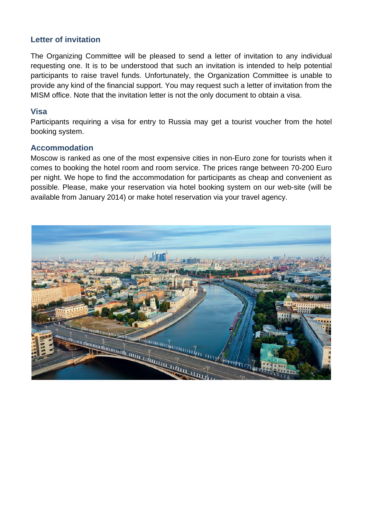#### **Letter of invitation**

The Organizing Committee will be pleased to send a letter of invitation to any individual requesting one. It is to be understood that such an invitation is intended to help potential participants to raise travel funds. Unfortunately, the Organization Committee is unable to provide any kind of the financial support. You may request such a letter of invitation from the MISM office. Note that the invitation letter is not the only document to obtain a visa.

#### **Visa**

Participants requiring a visa for entry to Russia may get a tourist voucher from the hotel booking system.

#### **Accommodation**

Moscow is ranked as one of the most expensive cities in non-Euro zone for tourists when it comes to booking the hotel room and room service. The prices range between 70-200 Euro per night. We hope to find the accommodation for participants as cheap and convenient as possible. Please, make your reservation via hotel booking system on our web-site (will be available from January 2014) or make hotel reservation via your travel agency.